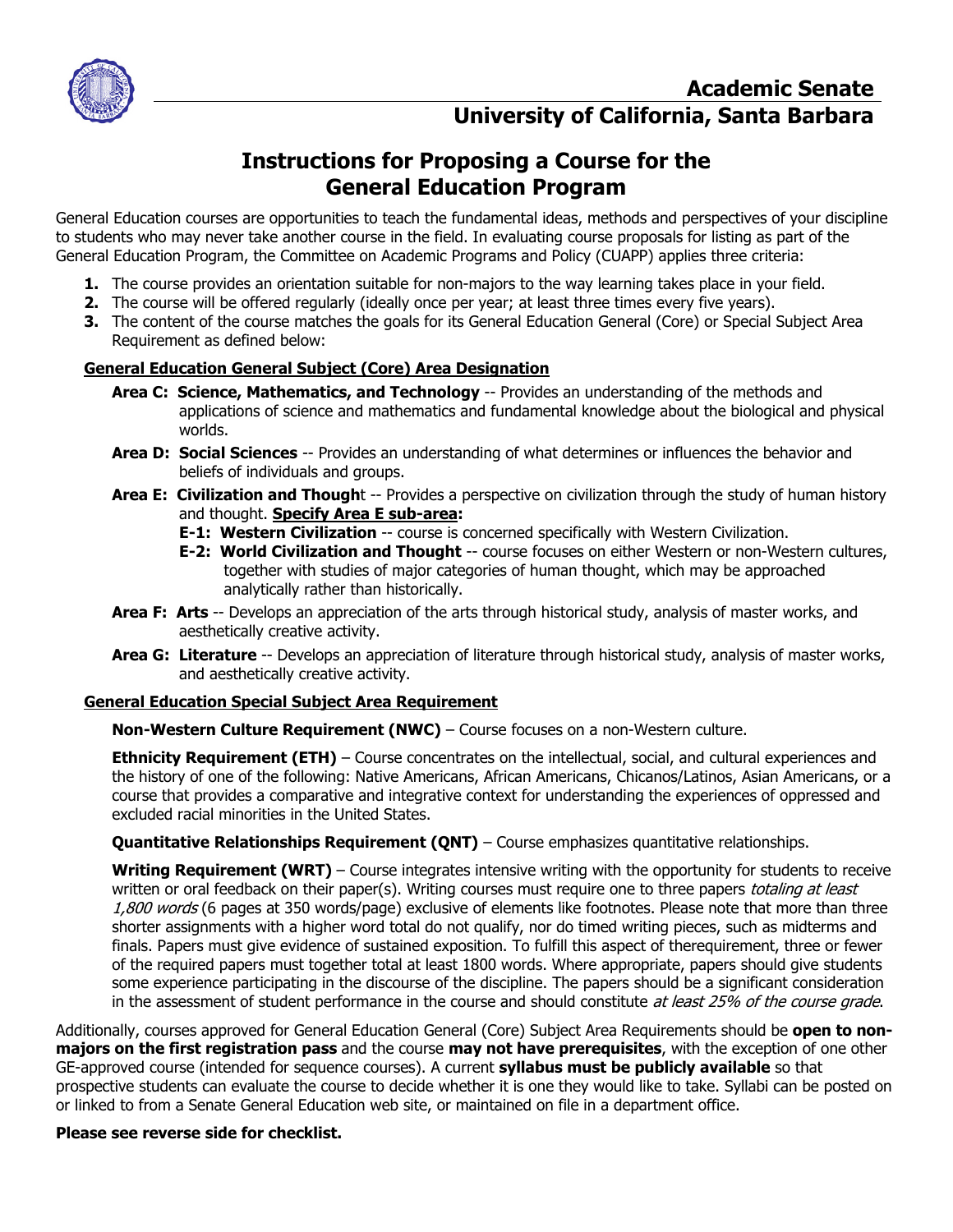

## **Instructions for Proposing a Course for the General Education Program**

General Education courses are opportunities to teach the fundamental ideas, methods and perspectives of your discipline to students who may never take another course in the field. In evaluating course proposals for listing as part of the General Education Program, the Committee on Academic Programs and Policy (CUAPP) applies three criteria:

- **1.** The course provides an orientation suitable for non-majors to the way learning takes place in your field.
- **2.** The course will be offered regularly (ideally once per year; at least three times every five years).
- **3.** The content of the course matches the goals for its General Education General (Core) or Special Subject Area Requirement as defined below:

## **General Education General Subject (Core) Area Designation**

- **Area C: Science, Mathematics, and Technology** -- Provides an understanding of the methods and applications of science and mathematics and fundamental knowledge about the biological and physical worlds.
- **Area D: Social Sciences** -- Provides an understanding of what determines or influences the behavior and beliefs of individuals and groups.
- **Area E: Civilization and Though**t -- Provides a perspective on civilization through the study of human history and thought. **Specify Area E sub-area:**
	- **E-1: Western Civilization** -- course is concerned specifically with Western Civilization.
	- **E-2: World Civilization and Thought** -- course focuses on either Western or non-Western cultures, together with studies of major categories of human thought, which may be approached analytically rather than historically.
- **Area F: Arts** -- Develops an appreciation of the arts through historical study, analysis of master works, and aesthetically creative activity.
- **Area G: Literature** -- Develops an appreciation of literature through historical study, analysis of master works, and aesthetically creative activity.

#### **General Education Special Subject Area Requirement**

**Non-Western Culture Requirement (NWC)** – Course focuses on a non-Western culture.

**Ethnicity Requirement (ETH)** – Course concentrates on the intellectual, social, and cultural experiences and the history of one of the following: Native Americans, African Americans, Chicanos/Latinos, Asian Americans, or a course that provides a comparative and integrative context for understanding the experiences of oppressed and excluded racial minorities in the United States.

**Quantitative Relationships Requirement (QNT)** – Course emphasizes quantitative relationships.

**Writing Requirement (WRT)** – Course integrates intensive writing with the opportunity for students to receive written or oral feedback on their paper(s). Writing courses must require one to three papers totaling at least 1,800 words (6 pages at 350 words/page) exclusive of elements like footnotes. Please note that more than three shorter assignments with a higher word total do not qualify, nor do timed writing pieces, such as midterms and finals. Papers must give evidence of sustained exposition. To fulfill this aspect of therequirement, three or fewer of the required papers must together total at least 1800 words. Where appropriate, papers should give students some experience participating in the discourse of the discipline. The papers should be a significant consideration in the assessment of student performance in the course and should constitute at least 25% of the course grade.

Additionally, courses approved for General Education General (Core) Subject Area Requirements should be **open to nonmajors on the first registration pass** and the course **may not have prerequisites**, with the exception of one other GE-approved course (intended for sequence courses). A current **syllabus must be publicly available** so that prospective students can evaluate the course to decide whether it is one they would like to take. Syllabi can be posted on or linked to from a Senate General Education web site, or maintained on file in a department office.

#### **Please see reverse side for checklist.**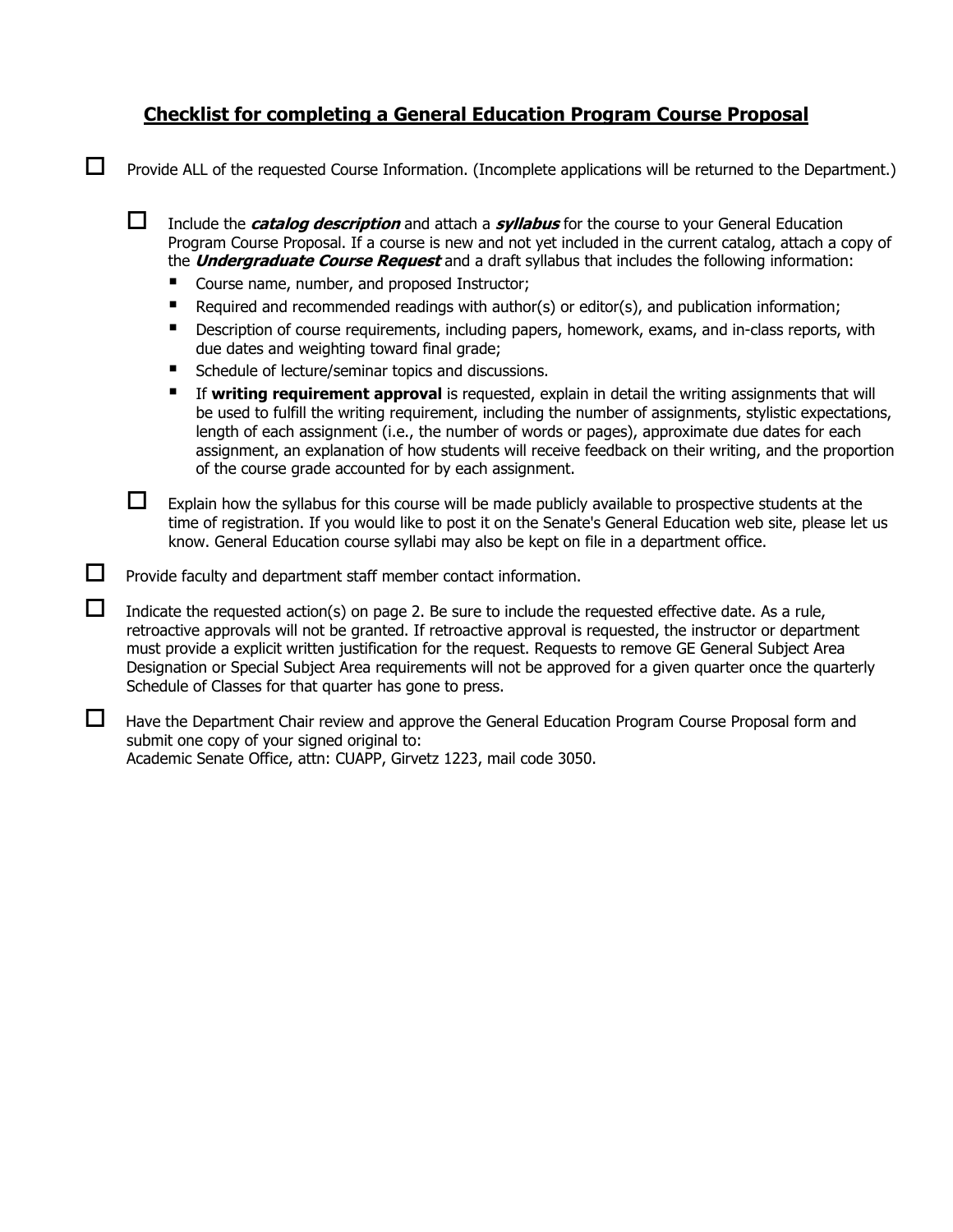## **Checklist for completing a General Education Program Course Proposal**

 $\Box$  Provide ALL of the requested Course Information. (Incomplete applications will be returned to the Department.)

 Include the **catalog description** and attach a **syllabus** for the course to your General Education Program Course Proposal. If a course is new and not yet included in the current catalog, attach a copy of the **Undergraduate Course Request** and a draft syllabus that includes the following information:

- Course name, number, and proposed Instructor;
- Required and recommended readings with author(s) or editor(s), and publication information;
- **E** Description of course requirements, including papers, homework, exams, and in-class reports, with due dates and weighting toward final grade;
- Schedule of lecture/seminar topics and discussions.
- If **writing requirement approval** is requested, explain in detail the writing assignments that will be used to fulfill the writing requirement, including the number of assignments, stylistic expectations, length of each assignment (i.e., the number of words or pages), approximate due dates for each assignment, an explanation of how students will receive feedback on their writing, and the proportion of the course grade accounted for by each assignment.

 $\Box$  Explain how the syllabus for this course will be made publicly available to prospective students at the time of registration. If you would like to post it on the Senate's General Education web site, please let us know. General Education course syllabi may also be kept on file in a department office.

 $\Box$  Provide faculty and department staff member contact information.

 $\Box$  Indicate the requested action(s) on page 2. Be sure to include the requested effective date. As a rule, retroactive approvals will not be granted. If retroactive approval is requested, the instructor or department must provide a explicit written justification for the request. Requests to remove GE General Subject Area Designation or Special Subject Area requirements will not be approved for a given quarter once the quarterly Schedule of Classes for that quarter has gone to press.

 $\Box$  Have the Department Chair review and approve the General Education Program Course Proposal form and submit one copy of your signed original to: Academic Senate Office, attn: CUAPP, Girvetz 1223, mail code 3050.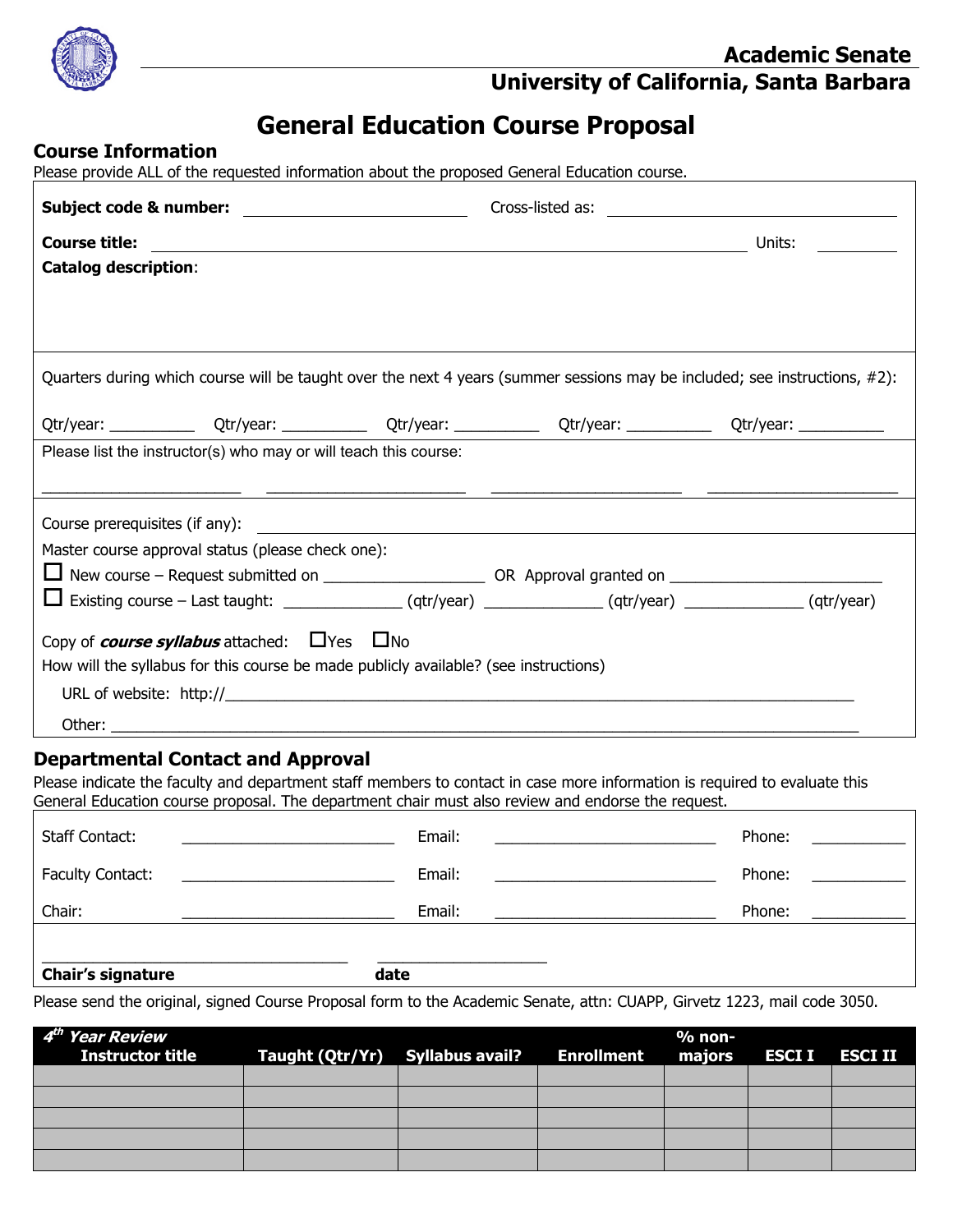

**University of California, Santa Barbara**

# **General Education Course Proposal**

## **Course Information**

Please provide ALL of the requested information about the proposed General Education course.

|                                                                                                                            | Cross-listed as: <u>________________________</u> |        |  |  |  |
|----------------------------------------------------------------------------------------------------------------------------|--------------------------------------------------|--------|--|--|--|
| <b>Course title:</b>                                                                                                       |                                                  | Units: |  |  |  |
| <b>Catalog description:</b>                                                                                                |                                                  |        |  |  |  |
|                                                                                                                            |                                                  |        |  |  |  |
|                                                                                                                            |                                                  |        |  |  |  |
|                                                                                                                            |                                                  |        |  |  |  |
| Quarters during which course will be taught over the next 4 years (summer sessions may be included; see instructions, #2): |                                                  |        |  |  |  |
| Qtr/year: _________________Qtr/year: ________________Qtr/year: __________________Qtr/year: ___________________             |                                                  |        |  |  |  |
| Please list the instructor(s) who may or will teach this course:                                                           |                                                  |        |  |  |  |
|                                                                                                                            |                                                  |        |  |  |  |
|                                                                                                                            |                                                  |        |  |  |  |
| Master course approval status (please check one):                                                                          |                                                  |        |  |  |  |
|                                                                                                                            |                                                  |        |  |  |  |
| $\Box$ Existing course – Last taught: _________________(qtr/year) _____________(qtr/year) ______________(qtr/year)         |                                                  |        |  |  |  |
| Copy of <b><i>course syllabus</i></b> attached: $\Box$ Yes $\Box$ No                                                       |                                                  |        |  |  |  |
| How will the syllabus for this course be made publicly available? (see instructions)                                       |                                                  |        |  |  |  |
| URL of website: $\frac{http://$                                                                                            |                                                  |        |  |  |  |
|                                                                                                                            |                                                  |        |  |  |  |
| Other:                                                                                                                     |                                                  |        |  |  |  |

## **Departmental Contact and Approval**

Please indicate the faculty and department staff members to contact in case more information is required to evaluate this General Education course proposal. The department chair must also review and endorse the request.

| Chair's signature                                                                                                                               | date   |                                          |
|-------------------------------------------------------------------------------------------------------------------------------------------------|--------|------------------------------------------|
| Chair:                                                                                                                                          | Email: | Phone:                                   |
| <b>Faculty Contact:</b><br><u> 1980 - Jan Samuel Barbara, politik eta politik eta politik eta politik eta politik eta politik eta politik e</u> | Email: | Phone:<br>and the company of the company |
| <b>Staff Contact:</b><br><u> 1980 - John Stein, Amerikaansk politiker (</u>                                                                     | Email: | Phone:                                   |

Please send the original, signed Course Proposal form to the Academic Senate, attn: CUAPP, Girvetz 1223, mail code 3050.

| 4 <sup>th</sup> Year Review<br>Instructor title | Taught (Qtr/Yr) Syllabus avail? Enrollment majors ESCI I ESCI II |  | $%$ non- |  |
|-------------------------------------------------|------------------------------------------------------------------|--|----------|--|
|                                                 |                                                                  |  |          |  |
|                                                 |                                                                  |  |          |  |
|                                                 |                                                                  |  |          |  |
|                                                 |                                                                  |  |          |  |
|                                                 |                                                                  |  |          |  |